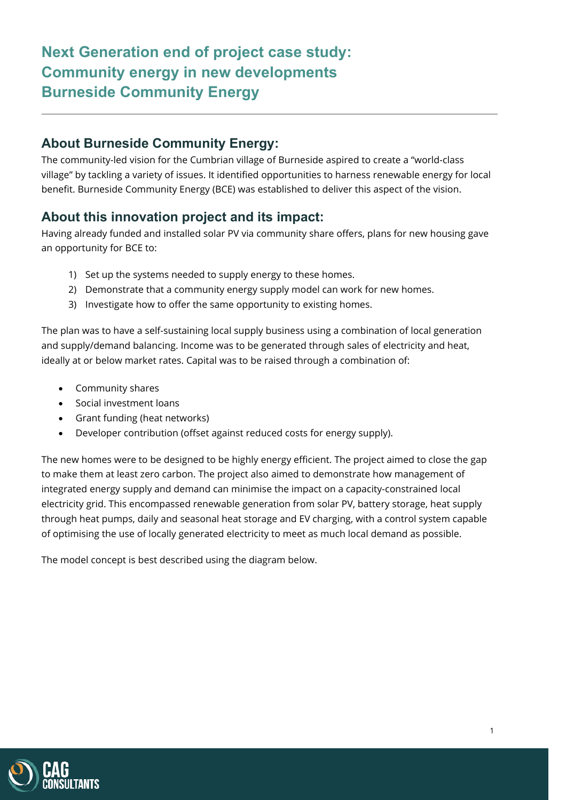# **Next Generation end of project case study: Community energy in new developments Burneside Community Energy**

### **About Burneside Community Energy:**

The community-led vision for the Cumbrian village of Burneside aspired to create a "world-class village" by tackling a variety of issues. It identified opportunities to harness renewable energy for local benefit. Burneside Community Energy (BCE) was established to deliver this aspect of the vision.

### **About this innovation project and its impact:**

Having already funded and installed solar PV via community share offers, plans for new housing gave an opportunity for BCE to:

- 1) Set up the systems needed to supply energy to these homes.
- 2) Demonstrate that a community energy supply model can work for new homes.
- 3) Investigate how to offer the same opportunity to existing homes.

The plan was to have a self-sustaining local supply business using a combination of local generation and supply/demand balancing. Income was to be generated through sales of electricity and heat, ideally at or below market rates. Capital was to be raised through a combination of:

- Community shares
- Social investment loans
- Grant funding (heat networks)
- Developer contribution (offset against reduced costs for energy supply).

The new homes were to be designed to be highly energy efficient. The project aimed to close the gap to make them at least zero carbon. The project also aimed to demonstrate how management of integrated energy supply and demand can minimise the impact on a capacity-constrained local electricity grid. This encompassed renewable generation from solar PV, battery storage, heat supply through heat pumps, daily and seasonal heat storage and EV charging, with a control system capable of optimising the use of locally generated electricity to meet as much local demand as possible.

The model concept is best described using the diagram below.

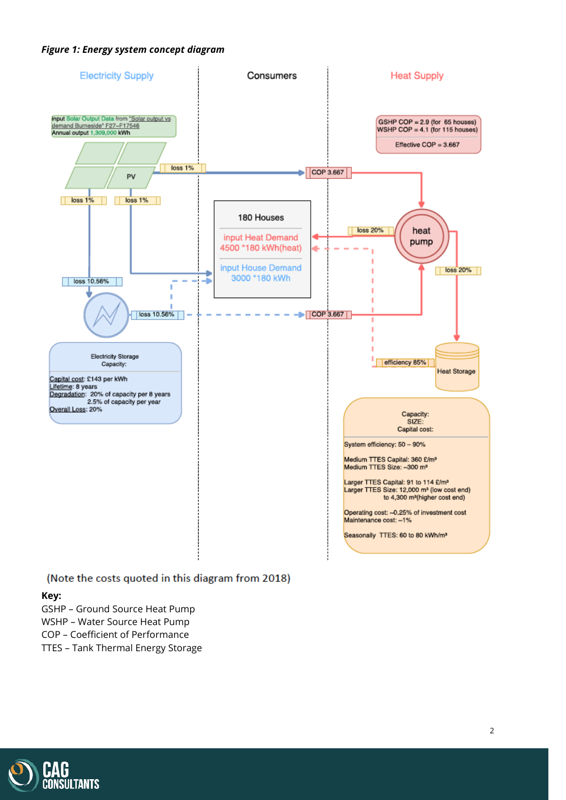#### *Figure 1: Energy system concept diagram*



#### (Note the costs quoted in this diagram from 2018)

#### **Key:**

- GSHP Ground Source Heat Pump WSHP – Water Source Heat Pump
- COP Coefficient of Performance
- TTES Tank Thermal Energy Storage

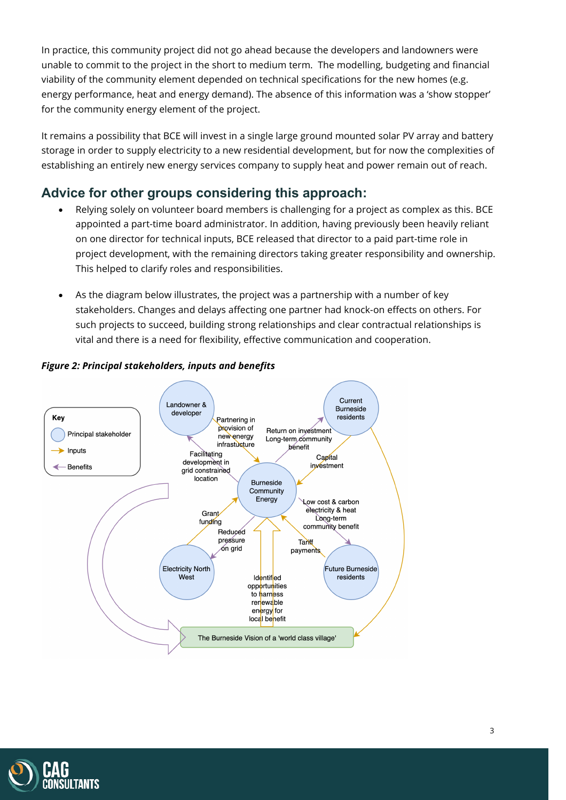In practice, this community project did not go ahead because the developers and landowners were unable to commit to the project in the short to medium term. The modelling, budgeting and financial viability of the community element depended on technical specifications for the new homes (e.g. energy performance, heat and energy demand). The absence of this information was a 'show stopper' for the community energy element of the project.

It remains a possibility that BCE will invest in a single large ground mounted solar PV array and battery storage in order to supply electricity to a new residential development, but for now the complexities of establishing an entirely new energy services company to supply heat and power remain out of reach.

### **Advice for other groups considering this approach:**

- Relying solely on volunteer board members is challenging for a project as complex as this. BCE appointed a part-time board administrator. In addition, having previously been heavily reliant on one director for technical inputs, BCE released that director to a paid part-time role in project development, with the remaining directors taking greater responsibility and ownership. This helped to clarify roles and responsibilities.
- As the diagram below illustrates, the project was a partnership with a number of key stakeholders. Changes and delays affecting one partner had knock-on effects on others. For such projects to succeed, building strong relationships and clear contractual relationships is vital and there is a need for flexibility, effective communication and cooperation.



### *Figure 2: Principal stakeholders, inputs and benefits*